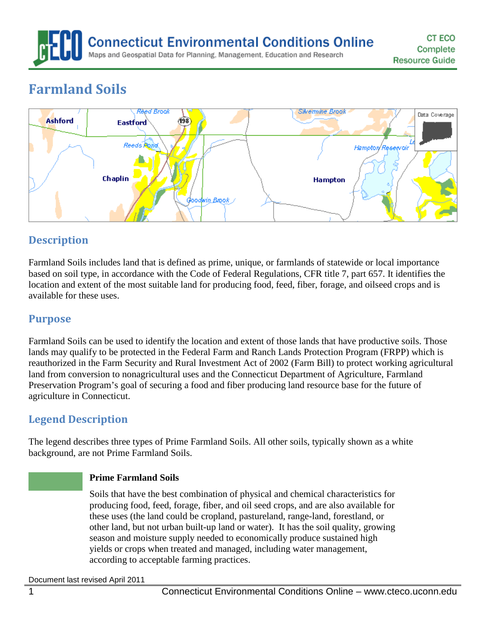**Connecticut Environmental Conditions Online** Maps and Geospatial Data for Planning, Management, Education and Research

# **Farmland Soils**



# **Description**

Farmland Soils includes land that is defined as prime, unique, or farmlands of statewide or local importance based on soil type, in accordance with the Code of Federal Regulations, CFR title 7, part 657. It identifies the location and extent of the most suitable land for producing food, feed, fiber, forage, and oilseed crops and is available for these uses.

## **Purpose**

Farmland Soils can be used to identify the location and extent of those lands that have productive soils. Those lands may qualify to be protected in the Federal Farm and Ranch Lands Protection Program (FRPP) which is reauthorized in the Farm Security and Rural Investment Act of 2002 (Farm Bill) to protect working agricultural land from conversion to nonagricultural uses and the Connecticut Department of Agriculture, Farmland Preservation Program's goal of securing a food and fiber producing land resource base for the future of agriculture in Connecticut.

# **Legend Description**

The legend describes three types of Prime Farmland Soils. All other soils, typically shown as a white background, are not Prime Farmland Soils.

#### **Prime Farmland Soils**

Soils that have the best combination of physical and chemical characteristics for producing food, feed, forage, fiber, and oil seed crops, and are also available for these uses (the land could be cropland, pastureland, range-land, forestland, or other land, but not urban built-up land or water). It has the soil quality, growing season and moisture supply needed to economically produce sustained high yields or crops when treated and managed, including water management, according to acceptable farming practices.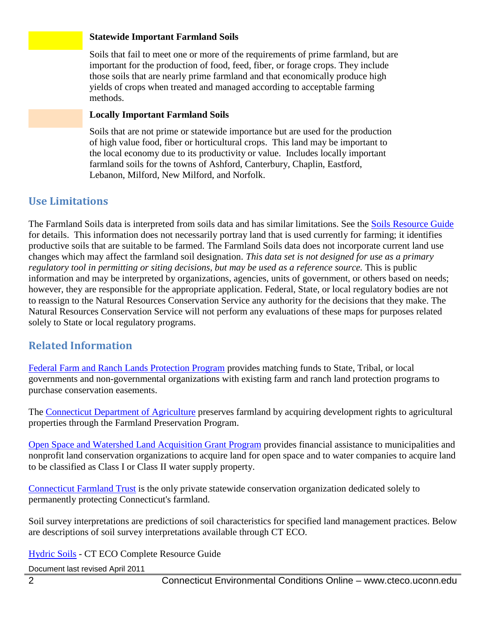#### **Statewide Important Farmland Soils**

Soils that fail to meet one or more of the requirements of prime farmland, but are important for the production of food, feed, fiber, or forage crops. They include those soils that are nearly prime farmland and that economically produce high yields of crops when treated and managed according to acceptable farming methods.

#### **Locally Important Farmland Soils**

Soils that are not prime or statewide importance but are used for the production of high value food, fiber or horticultural crops. This land may be important to the local economy due to its productivity or value. Includes locally important farmland soils for the towns of Ashford, Canterbury, Chaplin, Eastford, Lebanon, Milford, New Milford, and Norfolk.

## **Use Limitations**

The Farmland Soils data is interpreted from soils data and has similar limitations. See the [Soils Resource Guide](http://www.cteco.uconn.edu/guides/resource/CT_ECO_Resource_Guide_Soils.pdf) for details. This information does not necessarily portray land that is used currently for farming; it identifies productive soils that are suitable to be farmed. The Farmland Soils data does not incorporate current land use changes which may affect the farmland soil designation. *This data set is not designed for use as a primary regulatory tool in permitting or siting decisions, but may be used as a reference source.* This is public information and may be interpreted by organizations, agencies, units of government, or others based on needs; however, they are responsible for the appropriate application. Federal, State, or local regulatory bodies are not to reassign to the Natural Resources Conservation Service any authority for the decisions that they make. The Natural Resources Conservation Service will not perform any evaluations of these maps for purposes related solely to State or local regulatory programs.

## **Related Information**

[Federal Farm and Ranch Lands Protection Program](http://www.ct.nrcs.usda.gov/programs/fpp/frpp.html) provides matching funds to State, Tribal, or local governments and non-governmental organizations with existing farm and ranch land protection programs to purchase conservation easements.

The [Connecticut Department of Agriculture](http://www.ct.gov/doag/cwp/view.asp?a=3260&q=399016) preserves farmland by acquiring development rights to agricultural properties through the Farmland Preservation Program.

[Open Space and Watershed Land Acquisition Grant Program](http://www.ct.gov/dep/cwp/view.asp?a=2706&q=323834&depNav_GID=1641) provides financial assistance to municipalities and nonprofit land conservation organizations to acquire land for open space and to water companies to acquire land to be classified as Class I or Class II water supply property.

[Connecticut Farmland Trust](http://www.ctfarmland.org/index.html) is the only private statewide conservation organization dedicated solely to permanently protecting Connecticut's farmland.

Soil survey interpretations are predictions of soil characteristics for specified land management practices. Below are descriptions of soil survey interpretations available through CT ECO.

[Hydric Soils](http://www.cteco.uconn.edu/guides/resource/CT_ECO_Resource_Guide_Soils_Hydric.pdf) - CT ECO Complete Resource Guide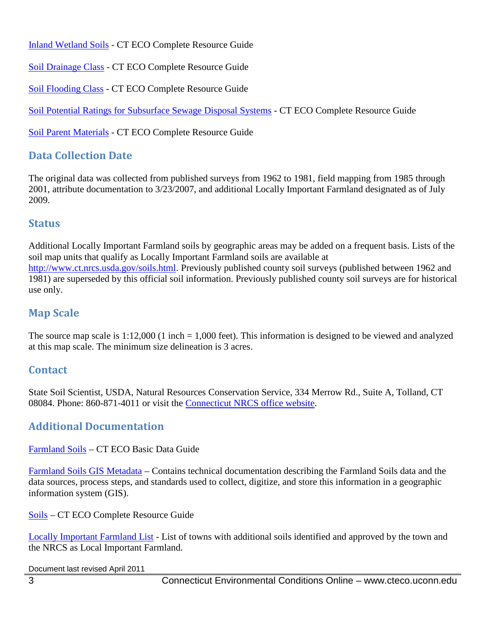[Inland Wetland Soils](http://www.cteco.uconn.edu/guides/resource/CT_ECO_Resource_Guide_Soils_Inland_Wetland.pdf) - CT ECO Complete Resource Guide

[Soil Drainage Class](http://www.cteco.uconn.edu/guides/resource/CT_ECO_Resource_Guide_Soils_Drainage.pdf) - CT ECO Complete Resource Guide

[Soil Flooding Class](http://www.cteco.uconn.edu/guides/resource/CT_ECO_Resource_Guide_Soils_Flooding.pdf) - CT ECO Complete Resource Guide

[Soil Potential Ratings for Subsurface Sewage Disposal Systems](http://www.cteco.uconn.edu/guides/resource/CT_ECO_Resource_Guide_Soils_Potential_SSDS.pdf) - CT ECO Complete Resource Guide

[Soil Parent Materials](http://www.cteco.uconn.edu/guides/resource/CT_ECO_Resource_Guide_Soils_Parent_Material.pdf) - CT ECO Complete Resource Guide

# **Data Collection Date**

The original data was collected from published surveys from 1962 to 1981, field mapping from 1985 through 2001, attribute documentation to 3/23/2007, and additional Locally Important Farmland designated as of July 2009.

## **Status**

Additional Locally Important Farmland soils by geographic areas may be added on a frequent basis. Lists of the soil map units that qualify as Locally Important Farmland soils are available at <http://www.ct.nrcs.usda.gov/soils.html>. Previously published county soil surveys (published between 1962 and 1981) are superseded by this official soil information. Previously published county soil surveys are for historical use only.

## **Map Scale**

The source map scale is  $1:12,000$  (1 inch = 1,000 feet). This information is designed to be viewed and analyzed at this map scale. The minimum size delineation is 3 acres.

## **Contact**

State Soil Scientist, USDA, Natural Resources Conservation Service, 334 Merrow Rd., Suite A, Tolland, CT 08084. Phone: 860-871-4011 or visit the [Connecticut NRCS office website.](http://www.ct.nrcs.usda.gov/)

## **Additional Documentation**

[Farmland Soils](http://www.cteco.uconn.edu/guides/Soils_Farmland.htm) – CT ECO Basic Data Guide

[Farmland Soils GIS Metadata](http://www.cteco.uconn.edu/metadata/dep/document/SOILS_FARMLAND_POLY_FGDC_Plus.htm) – Contains technical documentation describing the Farmland Soils data and the data sources, process steps, and standards used to collect, digitize, and store this information in a geographic information system (GIS).

[Soils](http://www.cteco.uconn.edu/guides/resource/CT_ECO_Resource_Guide_Soils.pdf) – CT ECO Complete Resource Guide

[Locally Important Farmland List](http://www.ct.nrcs.usda.gov/soils.html) - List of towns with additional soils identified and approved by the town and the NRCS as Local Important Farmland.